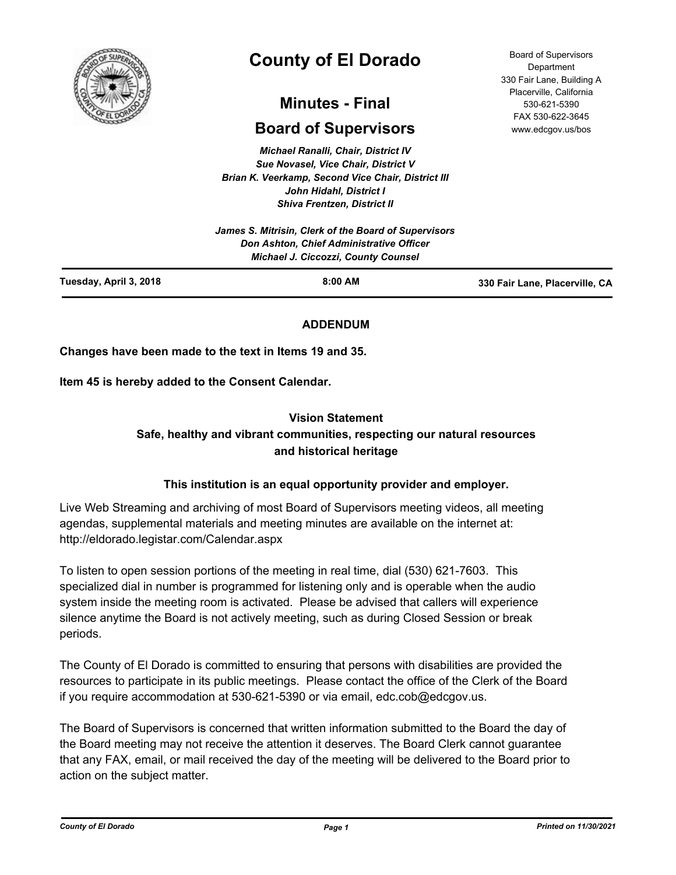

# **County of El Dorado**

# **Minutes - Final**

## **Board of Supervisors**

*Michael Ranalli, Chair, District IV Sue Novasel, Vice Chair, District V Brian K. Veerkamp, Second Vice Chair, District III John Hidahl, District I Shiva Frentzen, District II*

| Tuesday, April 3, 2018 | $8:00$ AM                                                                              | 330 Fair Lane, Placerville, CA |
|------------------------|----------------------------------------------------------------------------------------|--------------------------------|
|                        | Don Ashton, Chief Administrative Officer<br><b>Michael J. Ciccozzi, County Counsel</b> |                                |
|                        | James S. Mitrisin, Clerk of the Board of Supervisors                                   |                                |

### **ADDENDUM**

**Changes have been made to the text in Items 19 and 35.**

**Item 45 is hereby added to the Consent Calendar.**

### **Vision Statement**

### **Safe, healthy and vibrant communities, respecting our natural resources and historical heritage**

### **This institution is an equal opportunity provider and employer.**

Live Web Streaming and archiving of most Board of Supervisors meeting videos, all meeting agendas, supplemental materials and meeting minutes are available on the internet at: http://eldorado.legistar.com/Calendar.aspx

To listen to open session portions of the meeting in real time, dial (530) 621-7603. This specialized dial in number is programmed for listening only and is operable when the audio system inside the meeting room is activated. Please be advised that callers will experience silence anytime the Board is not actively meeting, such as during Closed Session or break periods.

The County of El Dorado is committed to ensuring that persons with disabilities are provided the resources to participate in its public meetings. Please contact the office of the Clerk of the Board if you require accommodation at 530-621-5390 or via email, edc.cob@edcgov.us.

The Board of Supervisors is concerned that written information submitted to the Board the day of the Board meeting may not receive the attention it deserves. The Board Clerk cannot guarantee that any FAX, email, or mail received the day of the meeting will be delivered to the Board prior to action on the subject matter.

Board of Supervisors Department 330 Fair Lane, Building A Placerville, California 530-621-5390 FAX 530-622-3645 www.edcgov.us/bos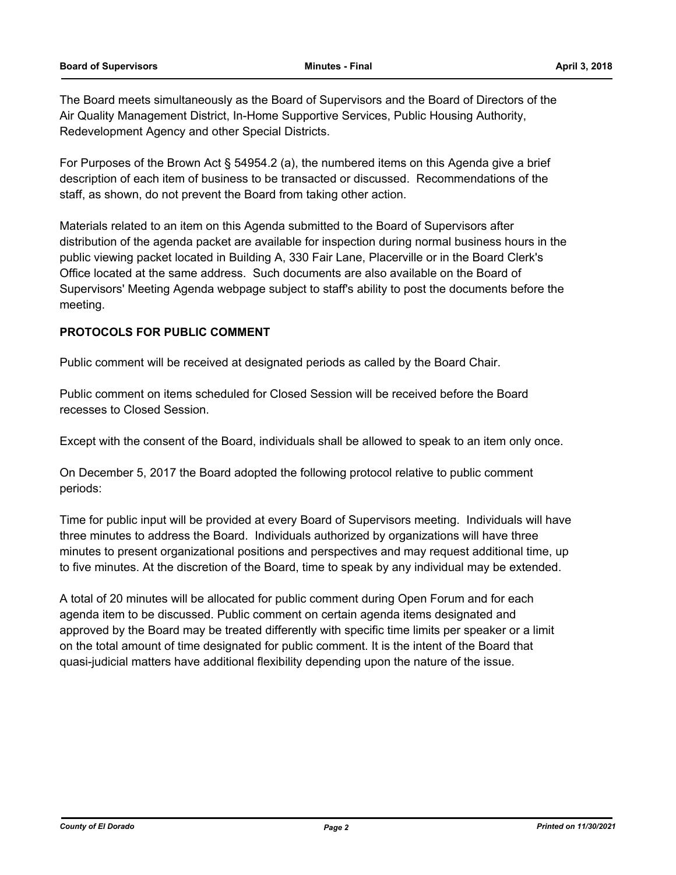The Board meets simultaneously as the Board of Supervisors and the Board of Directors of the Air Quality Management District, In-Home Supportive Services, Public Housing Authority, Redevelopment Agency and other Special Districts.

For Purposes of the Brown Act § 54954.2 (a), the numbered items on this Agenda give a brief description of each item of business to be transacted or discussed. Recommendations of the staff, as shown, do not prevent the Board from taking other action.

Materials related to an item on this Agenda submitted to the Board of Supervisors after distribution of the agenda packet are available for inspection during normal business hours in the public viewing packet located in Building A, 330 Fair Lane, Placerville or in the Board Clerk's Office located at the same address. Such documents are also available on the Board of Supervisors' Meeting Agenda webpage subject to staff's ability to post the documents before the meeting.

### **PROTOCOLS FOR PUBLIC COMMENT**

Public comment will be received at designated periods as called by the Board Chair.

Public comment on items scheduled for Closed Session will be received before the Board recesses to Closed Session.

Except with the consent of the Board, individuals shall be allowed to speak to an item only once.

On December 5, 2017 the Board adopted the following protocol relative to public comment periods:

Time for public input will be provided at every Board of Supervisors meeting. Individuals will have three minutes to address the Board. Individuals authorized by organizations will have three minutes to present organizational positions and perspectives and may request additional time, up to five minutes. At the discretion of the Board, time to speak by any individual may be extended.

A total of 20 minutes will be allocated for public comment during Open Forum and for each agenda item to be discussed. Public comment on certain agenda items designated and approved by the Board may be treated differently with specific time limits per speaker or a limit on the total amount of time designated for public comment. It is the intent of the Board that quasi-judicial matters have additional flexibility depending upon the nature of the issue.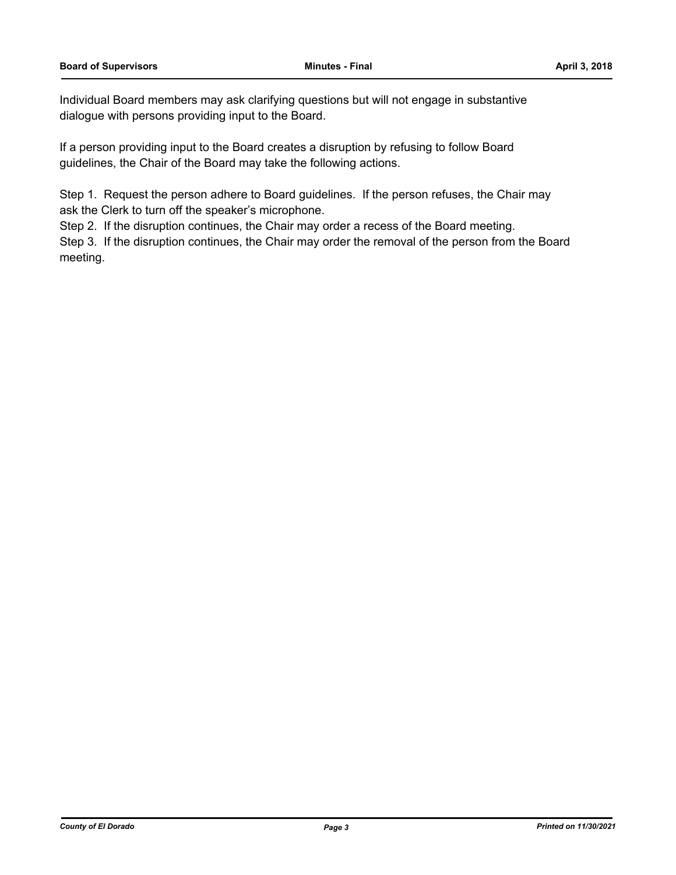Individual Board members may ask clarifying questions but will not engage in substantive dialogue with persons providing input to the Board.

If a person providing input to the Board creates a disruption by refusing to follow Board guidelines, the Chair of the Board may take the following actions.

Step 1. Request the person adhere to Board guidelines. If the person refuses, the Chair may ask the Clerk to turn off the speaker's microphone.

Step 2. If the disruption continues, the Chair may order a recess of the Board meeting.

Step 3. If the disruption continues, the Chair may order the removal of the person from the Board meeting.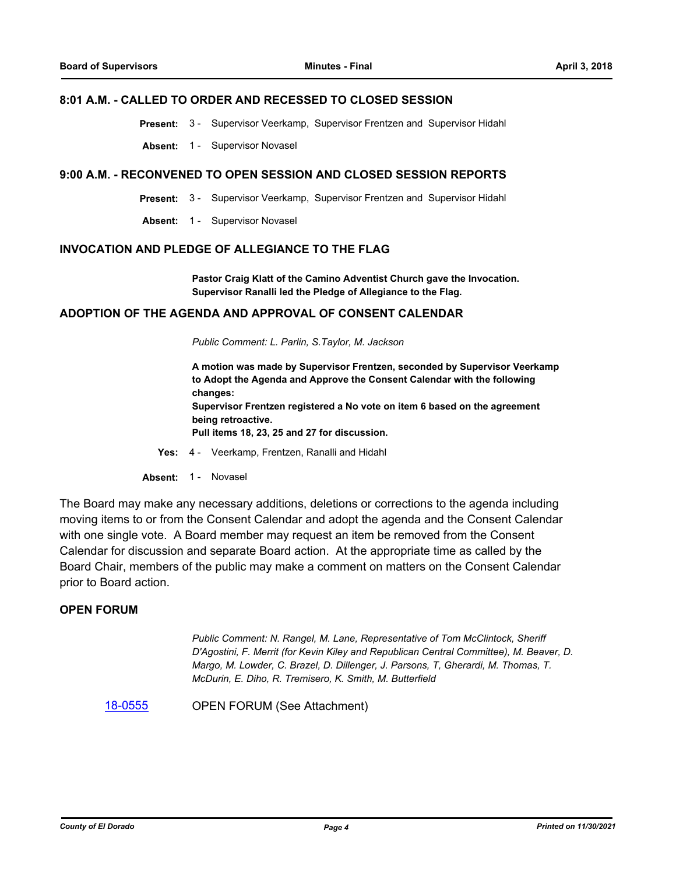### **8:01 A.M. - CALLED TO ORDER AND RECESSED TO CLOSED SESSION**

**Present:** 3 - Supervisor Veerkamp, Supervisor Frentzen and Supervisor Hidahl

**Absent:** 1 - Supervisor Novasel

### **9:00 A.M. - RECONVENED TO OPEN SESSION AND CLOSED SESSION REPORTS**

**Present:** 3 - Supervisor Veerkamp, Supervisor Frentzen and Supervisor Hidahl

**Absent:** 1 - Supervisor Novasel

### **INVOCATION AND PLEDGE OF ALLEGIANCE TO THE FLAG**

**Pastor Craig Klatt of the Camino Adventist Church gave the Invocation. Supervisor Ranalli led the Pledge of Allegiance to the Flag.**

### **ADOPTION OF THE AGENDA AND APPROVAL OF CONSENT CALENDAR**

*Public Comment: L. Parlin, S.Taylor, M. Jackson*

**A motion was made by Supervisor Frentzen, seconded by Supervisor Veerkamp to Adopt the Agenda and Approve the Consent Calendar with the following changes: Supervisor Frentzen registered a No vote on item 6 based on the agreement being retroactive. Pull items 18, 23, 25 and 27 for discussion.**

- **Yes:** 4 Veerkamp, Frentzen, Ranalli and Hidahl
- Absent: 1 Novasel

The Board may make any necessary additions, deletions or corrections to the agenda including moving items to or from the Consent Calendar and adopt the agenda and the Consent Calendar with one single vote. A Board member may request an item be removed from the Consent Calendar for discussion and separate Board action. At the appropriate time as called by the Board Chair, members of the public may make a comment on matters on the Consent Calendar prior to Board action.

### **OPEN FORUM**

*Public Comment: N. Rangel, M. Lane, Representative of Tom McClintock, Sheriff D'Agostini, F. Merrit (for Kevin Kiley and Republican Central Committee), M. Beaver, D. Margo, M. Lowder, C. Brazel, D. Dillenger, J. Parsons, T, Gherardi, M. Thomas, T. McDurin, E. Diho, R. Tremisero, K. Smith, M. Butterfield*

[18-0555](http://eldorado.legistar.com/gateway.aspx?m=l&id=/matter.aspx?key=23900) OPEN FORUM (See Attachment)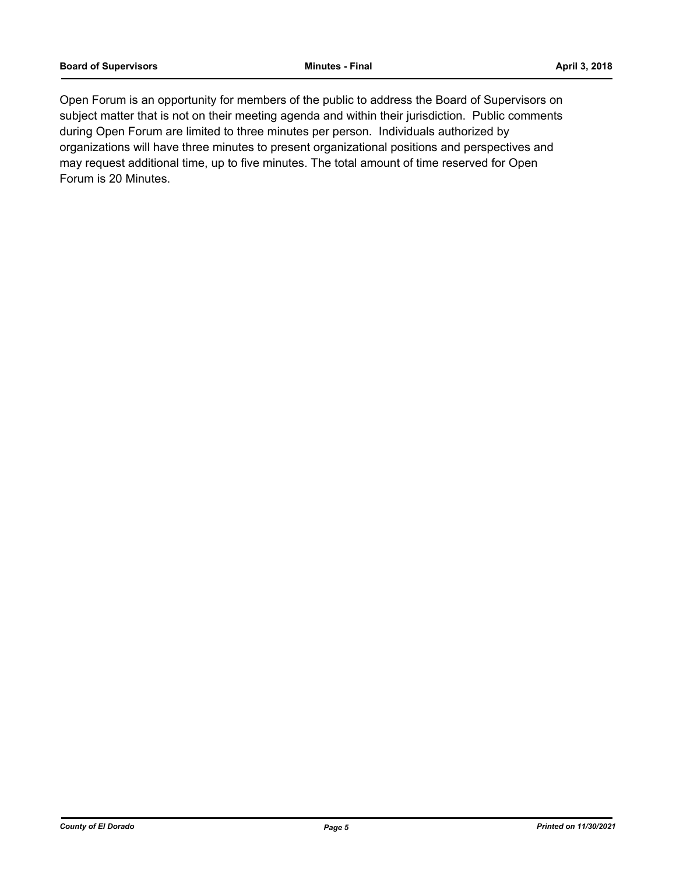Open Forum is an opportunity for members of the public to address the Board of Supervisors on subject matter that is not on their meeting agenda and within their jurisdiction. Public comments during Open Forum are limited to three minutes per person. Individuals authorized by organizations will have three minutes to present organizational positions and perspectives and may request additional time, up to five minutes. The total amount of time reserved for Open Forum is 20 Minutes.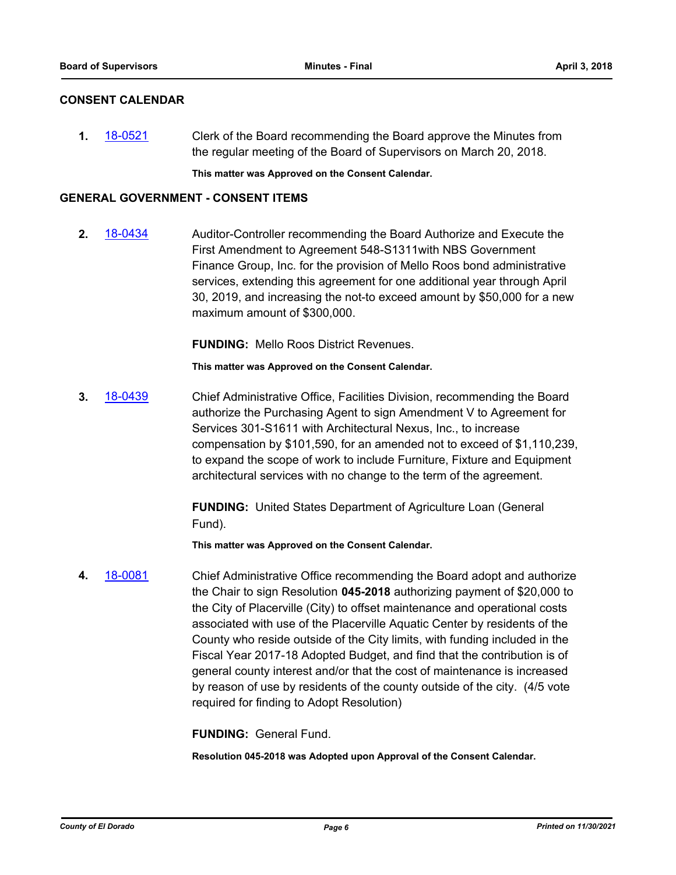### **CONSENT CALENDAR**

**1.** [18-0521](http://eldorado.legistar.com/gateway.aspx?m=l&id=/matter.aspx?key=23866) Clerk of the Board recommending the Board approve the Minutes from the regular meeting of the Board of Supervisors on March 20, 2018.

**This matter was Approved on the Consent Calendar.**

### **GENERAL GOVERNMENT - CONSENT ITEMS**

**2.** [18-0434](http://eldorado.legistar.com/gateway.aspx?m=l&id=/matter.aspx?key=23779) Auditor-Controller recommending the Board Authorize and Execute the First Amendment to Agreement 548-S1311with NBS Government Finance Group, Inc. for the provision of Mello Roos bond administrative services, extending this agreement for one additional year through April 30, 2019, and increasing the not-to exceed amount by \$50,000 for a new maximum amount of \$300,000.

**FUNDING:** Mello Roos District Revenues.

**This matter was Approved on the Consent Calendar.**

**3.** [18-0439](http://eldorado.legistar.com/gateway.aspx?m=l&id=/matter.aspx?key=23784) Chief Administrative Office, Facilities Division, recommending the Board authorize the Purchasing Agent to sign Amendment V to Agreement for Services 301-S1611 with Architectural Nexus, Inc., to increase compensation by \$101,590, for an amended not to exceed of \$1,110,239, to expand the scope of work to include Furniture, Fixture and Equipment architectural services with no change to the term of the agreement.

> **FUNDING:** United States Department of Agriculture Loan (General Fund).

**This matter was Approved on the Consent Calendar.**

**4.** [18-0081](http://eldorado.legistar.com/gateway.aspx?m=l&id=/matter.aspx?key=23422) Chief Administrative Office recommending the Board adopt and authorize the Chair to sign Resolution **045-2018** authorizing payment of \$20,000 to the City of Placerville (City) to offset maintenance and operational costs associated with use of the Placerville Aquatic Center by residents of the County who reside outside of the City limits, with funding included in the Fiscal Year 2017-18 Adopted Budget, and find that the contribution is of general county interest and/or that the cost of maintenance is increased by reason of use by residents of the county outside of the city. (4/5 vote required for finding to Adopt Resolution)

**FUNDING:** General Fund.

**Resolution 045-2018 was Adopted upon Approval of the Consent Calendar.**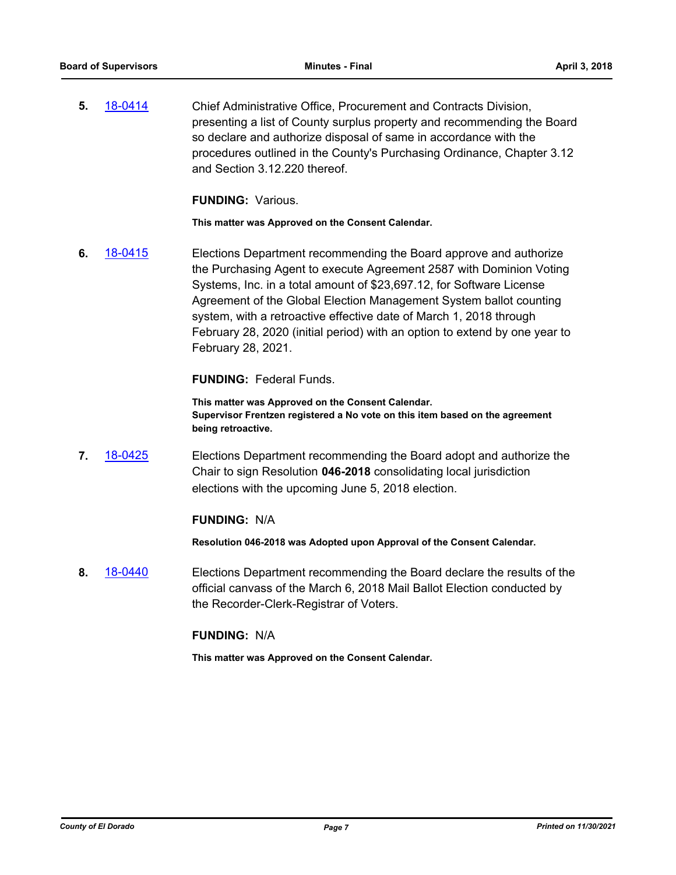**5.** [18-0414](http://eldorado.legistar.com/gateway.aspx?m=l&id=/matter.aspx?key=23759) Chief Administrative Office, Procurement and Contracts Division, presenting a list of County surplus property and recommending the Board so declare and authorize disposal of same in accordance with the procedures outlined in the County's Purchasing Ordinance, Chapter 3.12 and Section 3.12.220 thereof.

**FUNDING:** Various.

**This matter was Approved on the Consent Calendar.**

**6.** [18-0415](http://eldorado.legistar.com/gateway.aspx?m=l&id=/matter.aspx?key=23760) Elections Department recommending the Board approve and authorize the Purchasing Agent to execute Agreement 2587 with Dominion Voting Systems, Inc. in a total amount of \$23,697.12, for Software License Agreement of the Global Election Management System ballot counting system, with a retroactive effective date of March 1, 2018 through February 28, 2020 (initial period) with an option to extend by one year to February 28, 2021.

**FUNDING:** Federal Funds.

**This matter was Approved on the Consent Calendar. Supervisor Frentzen registered a No vote on this item based on the agreement being retroactive.**

**7.** [18-0425](http://eldorado.legistar.com/gateway.aspx?m=l&id=/matter.aspx?key=23770) Elections Department recommending the Board adopt and authorize the Chair to sign Resolution **046-2018** consolidating local jurisdiction elections with the upcoming June 5, 2018 election.

### **FUNDING:** N/A

**Resolution 046-2018 was Adopted upon Approval of the Consent Calendar.**

**8.** [18-0440](http://eldorado.legistar.com/gateway.aspx?m=l&id=/matter.aspx?key=23785) Elections Department recommending the Board declare the results of the official canvass of the March 6, 2018 Mail Ballot Election conducted by the Recorder-Clerk-Registrar of Voters.

### **FUNDING:** N/A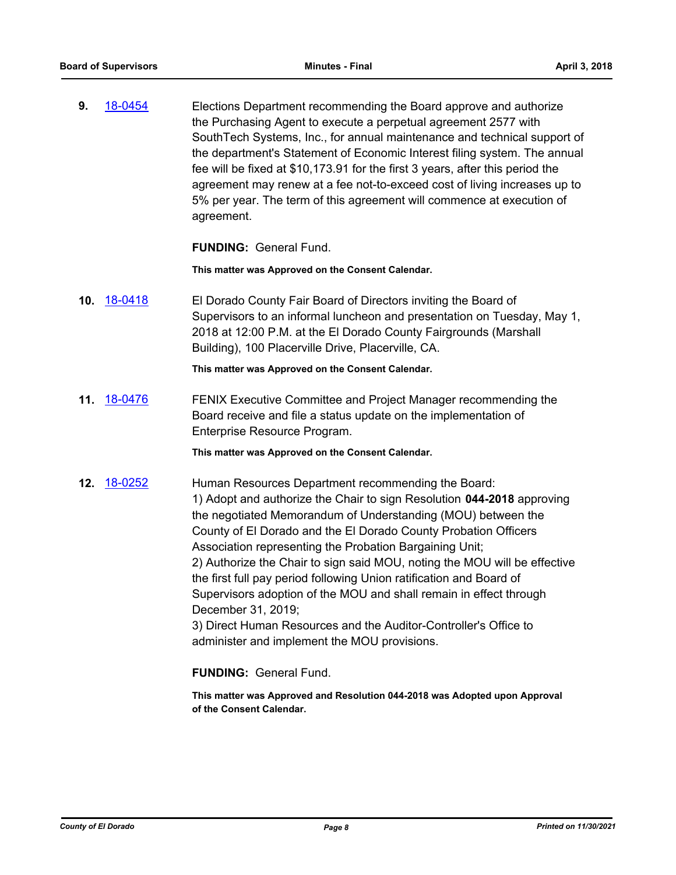**9.** [18-0454](http://eldorado.legistar.com/gateway.aspx?m=l&id=/matter.aspx?key=23799) Elections Department recommending the Board approve and authorize the Purchasing Agent to execute a perpetual agreement 2577 with SouthTech Systems, Inc., for annual maintenance and technical support of the department's Statement of Economic Interest filing system. The annual fee will be fixed at \$10,173.91 for the first 3 years, after this period the agreement may renew at a fee not-to-exceed cost of living increases up to 5% per year. The term of this agreement will commence at execution of agreement.

### **FUNDING:** General Fund.

**This matter was Approved on the Consent Calendar.**

**10.** [18-0418](http://eldorado.legistar.com/gateway.aspx?m=l&id=/matter.aspx?key=23763) El Dorado County Fair Board of Directors inviting the Board of Supervisors to an informal luncheon and presentation on Tuesday, May 1, 2018 at 12:00 P.M. at the El Dorado County Fairgrounds (Marshall Building), 100 Placerville Drive, Placerville, CA.

**This matter was Approved on the Consent Calendar.**

**11.** [18-0476](http://eldorado.legistar.com/gateway.aspx?m=l&id=/matter.aspx?key=23821) FENIX Executive Committee and Project Manager recommending the Board receive and file a status update on the implementation of Enterprise Resource Program.

**This matter was Approved on the Consent Calendar.**

**12.** [18-0252](http://eldorado.legistar.com/gateway.aspx?m=l&id=/matter.aspx?key=23595) Human Resources Department recommending the Board: 1) Adopt and authorize the Chair to sign Resolution **044-2018** approving the negotiated Memorandum of Understanding (MOU) between the County of El Dorado and the El Dorado County Probation Officers Association representing the Probation Bargaining Unit; 2) Authorize the Chair to sign said MOU, noting the MOU will be effective the first full pay period following Union ratification and Board of Supervisors adoption of the MOU and shall remain in effect through December 31, 2019; 3) Direct Human Resources and the Auditor-Controller's Office to

administer and implement the MOU provisions.

**FUNDING:** General Fund.

**This matter was Approved and Resolution 044-2018 was Adopted upon Approval of the Consent Calendar.**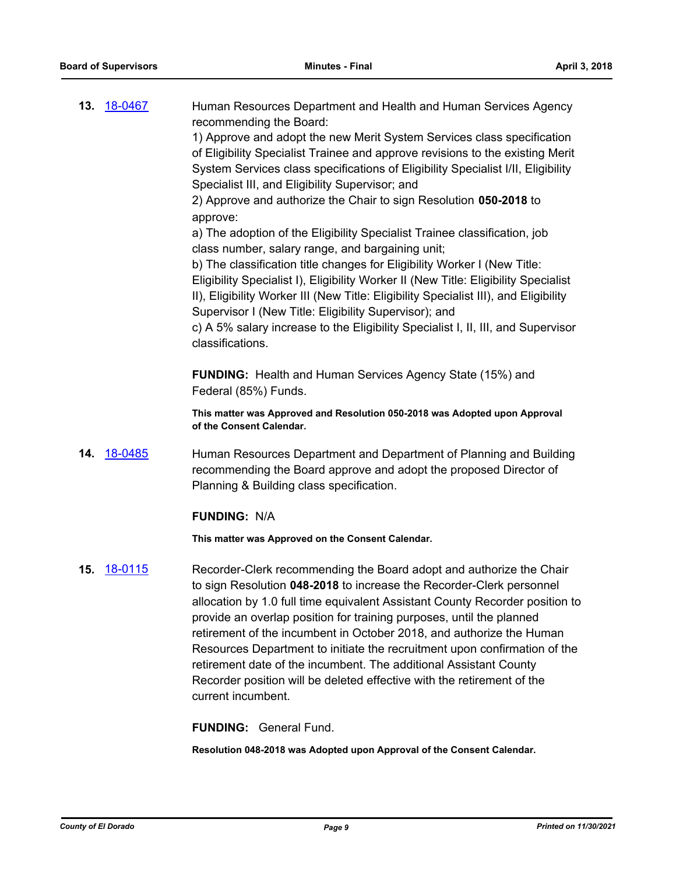| <b>13. 18-0467</b>    | Human Resources Department and Health and Human Services Agency<br>recommending the Board:<br>1) Approve and adopt the new Merit System Services class specification<br>of Eligibility Specialist Trainee and approve revisions to the existing Merit<br>System Services class specifications of Eligibility Specialist I/II, Eligibility<br>Specialist III, and Eligibility Supervisor; and<br>2) Approve and authorize the Chair to sign Resolution 050-2018 to<br>approve:<br>a) The adoption of the Eligibility Specialist Trainee classification, job<br>class number, salary range, and bargaining unit;<br>b) The classification title changes for Eligibility Worker I (New Title:<br>Eligibility Specialist I), Eligibility Worker II (New Title: Eligibility Specialist<br>II), Eligibility Worker III (New Title: Eligibility Specialist III), and Eligibility<br>Supervisor I (New Title: Eligibility Supervisor); and<br>c) A 5% salary increase to the Eligibility Specialist I, II, III, and Supervisor<br>classifications. |
|-----------------------|--------------------------------------------------------------------------------------------------------------------------------------------------------------------------------------------------------------------------------------------------------------------------------------------------------------------------------------------------------------------------------------------------------------------------------------------------------------------------------------------------------------------------------------------------------------------------------------------------------------------------------------------------------------------------------------------------------------------------------------------------------------------------------------------------------------------------------------------------------------------------------------------------------------------------------------------------------------------------------------------------------------------------------------------|
|                       | <b>FUNDING:</b> Health and Human Services Agency State (15%) and<br>Federal (85%) Funds.                                                                                                                                                                                                                                                                                                                                                                                                                                                                                                                                                                                                                                                                                                                                                                                                                                                                                                                                                   |
|                       | This matter was Approved and Resolution 050-2018 was Adopted upon Approval<br>of the Consent Calendar.                                                                                                                                                                                                                                                                                                                                                                                                                                                                                                                                                                                                                                                                                                                                                                                                                                                                                                                                     |
| 14. 18-0485           | Human Resources Department and Department of Planning and Building<br>recommending the Board approve and adopt the proposed Director of<br>Planning & Building class specification.                                                                                                                                                                                                                                                                                                                                                                                                                                                                                                                                                                                                                                                                                                                                                                                                                                                        |
|                       | <b>FUNDING: N/A</b>                                                                                                                                                                                                                                                                                                                                                                                                                                                                                                                                                                                                                                                                                                                                                                                                                                                                                                                                                                                                                        |
|                       | This matter was Approved on the Consent Calendar.                                                                                                                                                                                                                                                                                                                                                                                                                                                                                                                                                                                                                                                                                                                                                                                                                                                                                                                                                                                          |
| <u>18-0115</u><br>15. | Recorder-Clerk recommending the Board adopt and authorize the Chair<br>to sign Resolution 048-2018 to increase the Recorder-Clerk personnel<br>allocation by 1.0 full time equivalent Assistant County Recorder position to<br>provide an overlap position for training purposes, until the planned<br>retirement of the incumbent in October 2018, and authorize the Human<br>Resources Department to initiate the recruitment upon confirmation of the<br>retirement date of the incumbent. The additional Assistant County<br>Recorder position will be deleted effective with the retirement of the<br>current incumbent.                                                                                                                                                                                                                                                                                                                                                                                                              |
|                       | <b>FUNDING: General Fund.</b>                                                                                                                                                                                                                                                                                                                                                                                                                                                                                                                                                                                                                                                                                                                                                                                                                                                                                                                                                                                                              |

**Resolution 048-2018 was Adopted upon Approval of the Consent Calendar.**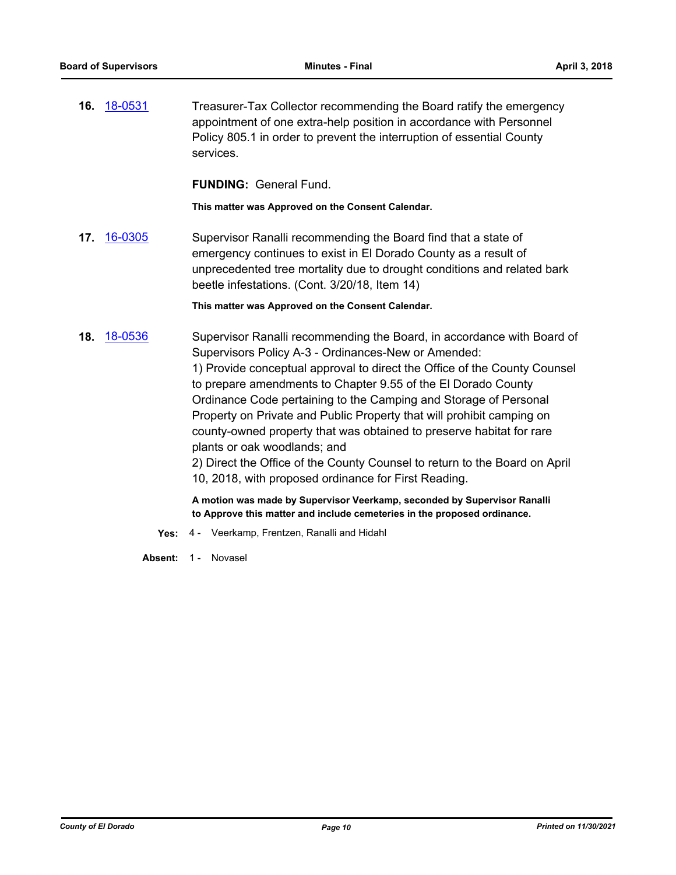**16.** [18-0531](http://eldorado.legistar.com/gateway.aspx?m=l&id=/matter.aspx?key=23876) Treasurer-Tax Collector recommending the Board ratify the emergency appointment of one extra-help position in accordance with Personnel Policy 805.1 in order to prevent the interruption of essential County services.

**FUNDING:** General Fund.

**This matter was Approved on the Consent Calendar.**

**17.** [16-0305](http://eldorado.legistar.com/gateway.aspx?m=l&id=/matter.aspx?key=20961) Supervisor Ranalli recommending the Board find that a state of emergency continues to exist in El Dorado County as a result of unprecedented tree mortality due to drought conditions and related bark beetle infestations. (Cont. 3/20/18, Item 14)

- **18.** [18-0536](http://eldorado.legistar.com/gateway.aspx?m=l&id=/matter.aspx?key=23881) Supervisor Ranalli recommending the Board, in accordance with Board of Supervisors Policy A-3 - Ordinances-New or Amended: 1) Provide conceptual approval to direct the Office of the County Counsel to prepare amendments to Chapter 9.55 of the El Dorado County Ordinance Code pertaining to the Camping and Storage of Personal Property on Private and Public Property that will prohibit camping on county-owned property that was obtained to preserve habitat for rare plants or oak woodlands; and 2) Direct the Office of the County Counsel to return to the Board on April 10, 2018, with proposed ordinance for First Reading. **A motion was made by Supervisor Veerkamp, seconded by Supervisor Ranalli to Approve this matter and include cemeteries in the proposed ordinance.**
	- **Yes:** 4 Veerkamp, Frentzen, Ranalli and Hidahl
	- Absent: 1 Novasel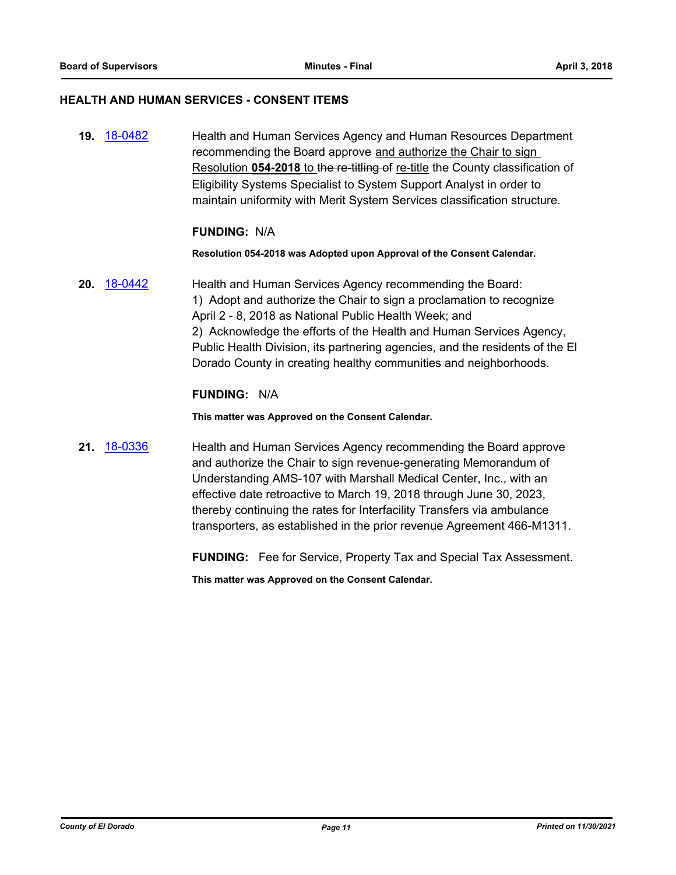### **HEALTH AND HUMAN SERVICES - CONSENT ITEMS**

**19.** [18-0482](http://eldorado.legistar.com/gateway.aspx?m=l&id=/matter.aspx?key=23827) Health and Human Services Agency and Human Resources Department recommending the Board approve and authorize the Chair to sign Resolution **054-2018** to the re-titling of re-title the County classification of Eligibility Systems Specialist to System Support Analyst in order to maintain uniformity with Merit System Services classification structure.

### **FUNDING:** N/A

#### **Resolution 054-2018 was Adopted upon Approval of the Consent Calendar.**

**20.** [18-0442](http://eldorado.legistar.com/gateway.aspx?m=l&id=/matter.aspx?key=23787) Health and Human Services Agency recommending the Board: 1) Adopt and authorize the Chair to sign a proclamation to recognize April 2 - 8, 2018 as National Public Health Week; and 2) Acknowledge the efforts of the Health and Human Services Agency, Public Health Division, its partnering agencies, and the residents of the El Dorado County in creating healthy communities and neighborhoods.

### **FUNDING:** N/A

**This matter was Approved on the Consent Calendar.**

**21.** [18-0336](http://eldorado.legistar.com/gateway.aspx?m=l&id=/matter.aspx?key=23679) Health and Human Services Agency recommending the Board approve and authorize the Chair to sign revenue-generating Memorandum of Understanding AMS-107 with Marshall Medical Center, Inc., with an effective date retroactive to March 19, 2018 through June 30, 2023, thereby continuing the rates for Interfacility Transfers via ambulance transporters, as established in the prior revenue Agreement 466-M1311.

**FUNDING:** Fee for Service, Property Tax and Special Tax Assessment.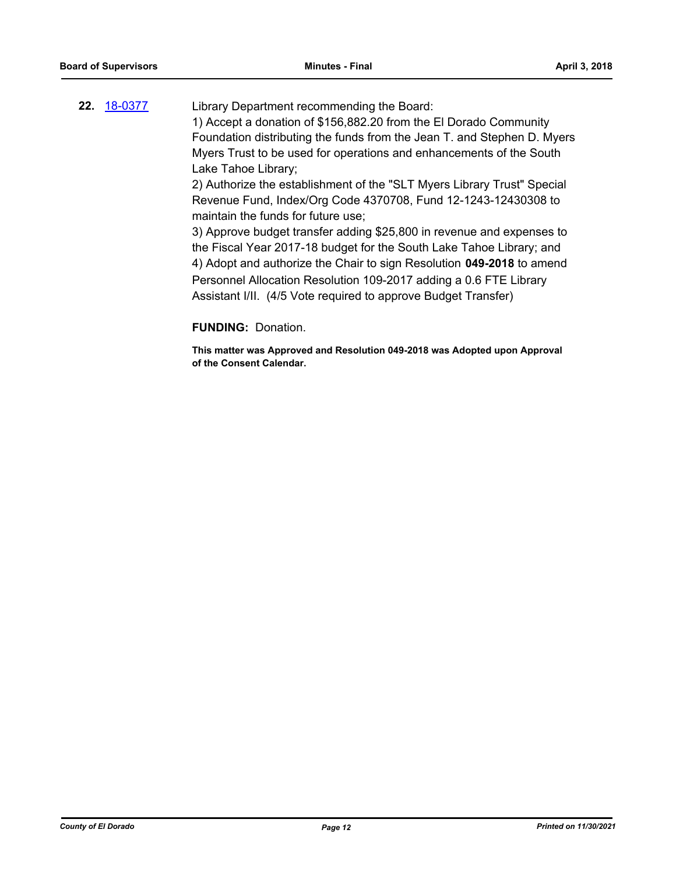### **22.** [18-0377](http://eldorado.legistar.com/gateway.aspx?m=l&id=/matter.aspx?key=23722) Library Department recommending the Board: 1) Accept a donation of \$156,882.20 from the El Dorado Community Foundation distributing the funds from the Jean T. and Stephen D. Myers Myers Trust to be used for operations and enhancements of the South Lake Tahoe Library; 2) Authorize the establishment of the "SLT Myers Library Trust" Special Revenue Fund, Index/Org Code 4370708, Fund 12-1243-12430308 to maintain the funds for future use; 3) Approve budget transfer adding \$25,800 in revenue and expenses to the Fiscal Year 2017-18 budget for the South Lake Tahoe Library; and 4) Adopt and authorize the Chair to sign Resolution **049-2018** to amend Personnel Allocation Resolution 109-2017 adding a 0.6 FTE Library Assistant I/II. (4/5 Vote required to approve Budget Transfer)

### **FUNDING:** Donation.

**This matter was Approved and Resolution 049-2018 was Adopted upon Approval of the Consent Calendar.**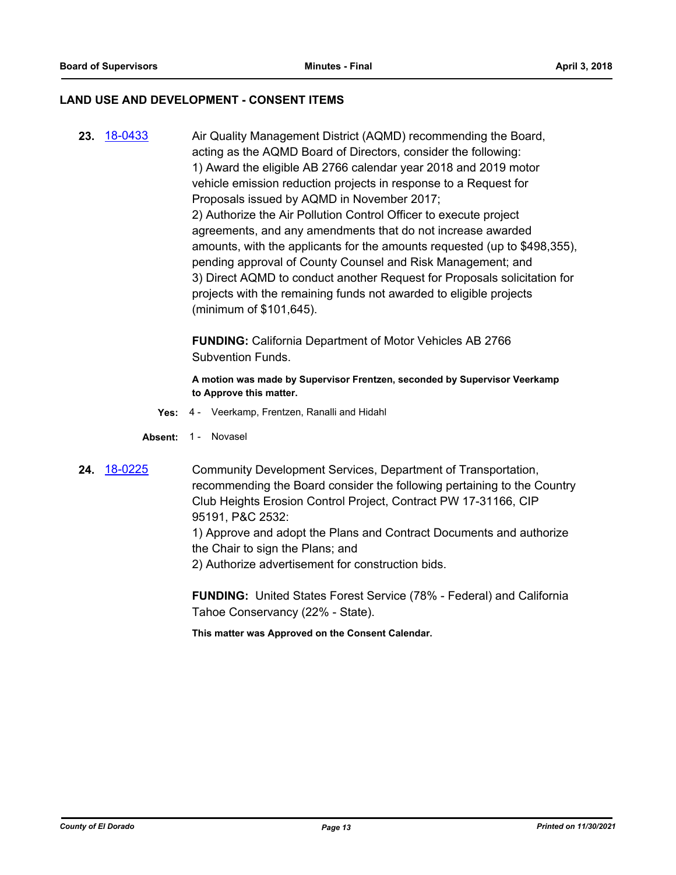### **LAND USE AND DEVELOPMENT - CONSENT ITEMS**

**23.** [18-0433](http://eldorado.legistar.com/gateway.aspx?m=l&id=/matter.aspx?key=23778) Air Quality Management District (AQMD) recommending the Board, acting as the AQMD Board of Directors, consider the following: 1) Award the eligible AB 2766 calendar year 2018 and 2019 motor vehicle emission reduction projects in response to a Request for Proposals issued by AQMD in November 2017; 2) Authorize the Air Pollution Control Officer to execute project agreements, and any amendments that do not increase awarded amounts, with the applicants for the amounts requested (up to \$498,355), pending approval of County Counsel and Risk Management; and 3) Direct AQMD to conduct another Request for Proposals solicitation for projects with the remaining funds not awarded to eligible projects (minimum of \$101,645).

> **FUNDING:** California Department of Motor Vehicles AB 2766 Subvention Funds.

**A motion was made by Supervisor Frentzen, seconded by Supervisor Veerkamp to Approve this matter.**

- **Yes:** 4 Veerkamp, Frentzen, Ranalli and Hidahl
- Absent: 1 Novasel
- **24.** [18-0225](http://eldorado.legistar.com/gateway.aspx?m=l&id=/matter.aspx?key=23567) Community Development Services, Department of Transportation, recommending the Board consider the following pertaining to the Country Club Heights Erosion Control Project, Contract PW 17-31166, CIP 95191, P&C 2532:

1) Approve and adopt the Plans and Contract Documents and authorize the Chair to sign the Plans; and

2) Authorize advertisement for construction bids.

**FUNDING:** United States Forest Service (78% - Federal) and California Tahoe Conservancy (22% - State).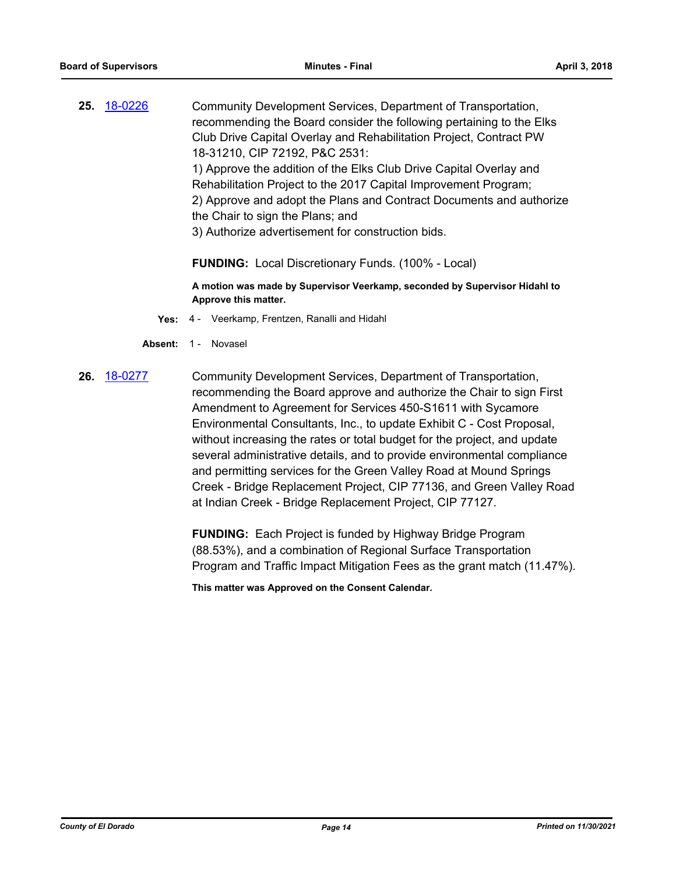**25.** [18-0226](http://eldorado.legistar.com/gateway.aspx?m=l&id=/matter.aspx?key=23568) Community Development Services, Department of Transportation, recommending the Board consider the following pertaining to the Elks Club Drive Capital Overlay and Rehabilitation Project, Contract PW 18-31210, CIP 72192, P&C 2531: 1) Approve the addition of the Elks Club Drive Capital Overlay and Rehabilitation Project to the 2017 Capital Improvement Program; 2) Approve and adopt the Plans and Contract Documents and authorize the Chair to sign the Plans; and 3) Authorize advertisement for construction bids.

**FUNDING:** Local Discretionary Funds. (100% - Local)

**A motion was made by Supervisor Veerkamp, seconded by Supervisor Hidahl to Approve this matter.**

- **Yes:** 4 Veerkamp, Frentzen, Ranalli and Hidahl
- Absent: 1 Novasel
- **26.** [18-0277](http://eldorado.legistar.com/gateway.aspx?m=l&id=/matter.aspx?key=23620) Community Development Services, Department of Transportation, recommending the Board approve and authorize the Chair to sign First Amendment to Agreement for Services 450-S1611 with Sycamore Environmental Consultants, Inc., to update Exhibit C - Cost Proposal, without increasing the rates or total budget for the project, and update several administrative details, and to provide environmental compliance and permitting services for the Green Valley Road at Mound Springs Creek - Bridge Replacement Project, CIP 77136, and Green Valley Road at Indian Creek - Bridge Replacement Project, CIP 77127.

**FUNDING:** Each Project is funded by Highway Bridge Program (88.53%), and a combination of Regional Surface Transportation Program and Traffic Impact Mitigation Fees as the grant match (11.47%).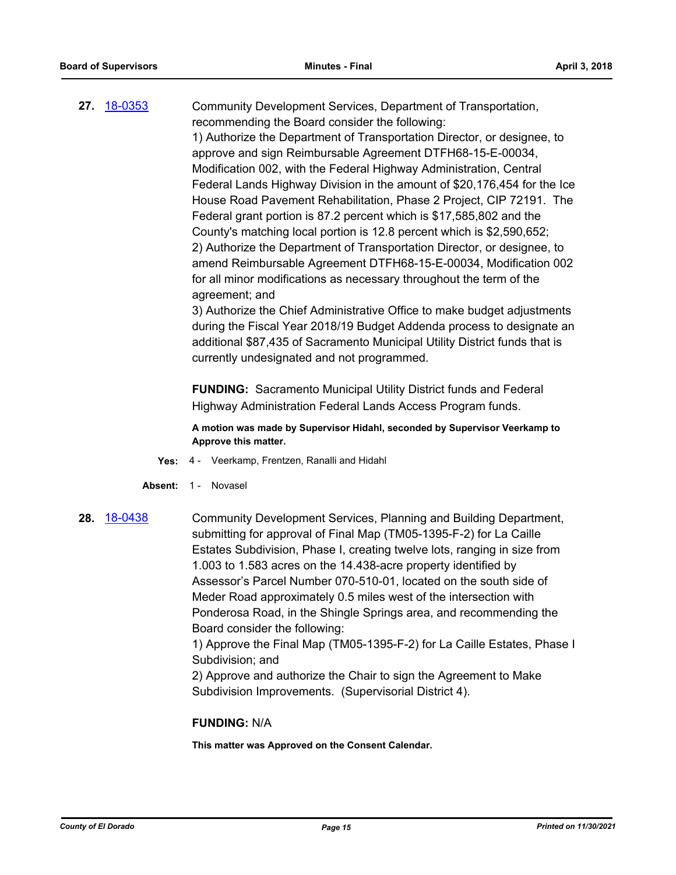**27.** [18-0353](http://eldorado.legistar.com/gateway.aspx?m=l&id=/matter.aspx?key=23696) Community Development Services, Department of Transportation, recommending the Board consider the following: 1) Authorize the Department of Transportation Director, or designee, to approve and sign Reimbursable Agreement DTFH68-15-E-00034, Modification 002, with the Federal Highway Administration, Central Federal Lands Highway Division in the amount of \$20,176,454 for the Ice House Road Pavement Rehabilitation, Phase 2 Project, CIP 72191. The Federal grant portion is 87.2 percent which is \$17,585,802 and the County's matching local portion is 12.8 percent which is \$2,590,652; 2) Authorize the Department of Transportation Director, or designee, to amend Reimbursable Agreement DTFH68-15-E-00034, Modification 002 for all minor modifications as necessary throughout the term of the agreement; and 3) Authorize the Chief Administrative Office to make budget adjustments

during the Fiscal Year 2018/19 Budget Addenda process to designate an additional \$87,435 of Sacramento Municipal Utility District funds that is currently undesignated and not programmed.

**FUNDING:** Sacramento Municipal Utility District funds and Federal Highway Administration Federal Lands Access Program funds.

**A motion was made by Supervisor Hidahl, seconded by Supervisor Veerkamp to Approve this matter.**

- **Yes:** 4 Veerkamp, Frentzen, Ranalli and Hidahl
- Absent: 1 Novasel
- **28.** [18-0438](http://eldorado.legistar.com/gateway.aspx?m=l&id=/matter.aspx?key=23783) Community Development Services, Planning and Building Department, submitting for approval of Final Map (TM05-1395-F-2) for La Caille Estates Subdivision, Phase I, creating twelve lots, ranging in size from 1.003 to 1.583 acres on the 14.438-acre property identified by Assessor's Parcel Number 070-510-01, located on the south side of Meder Road approximately 0.5 miles west of the intersection with Ponderosa Road, in the Shingle Springs area, and recommending the Board consider the following:

1) Approve the Final Map (TM05-1395-F-2) for La Caille Estates, Phase I Subdivision; and

2) Approve and authorize the Chair to sign the Agreement to Make Subdivision Improvements. (Supervisorial District 4).

### **FUNDING:** N/A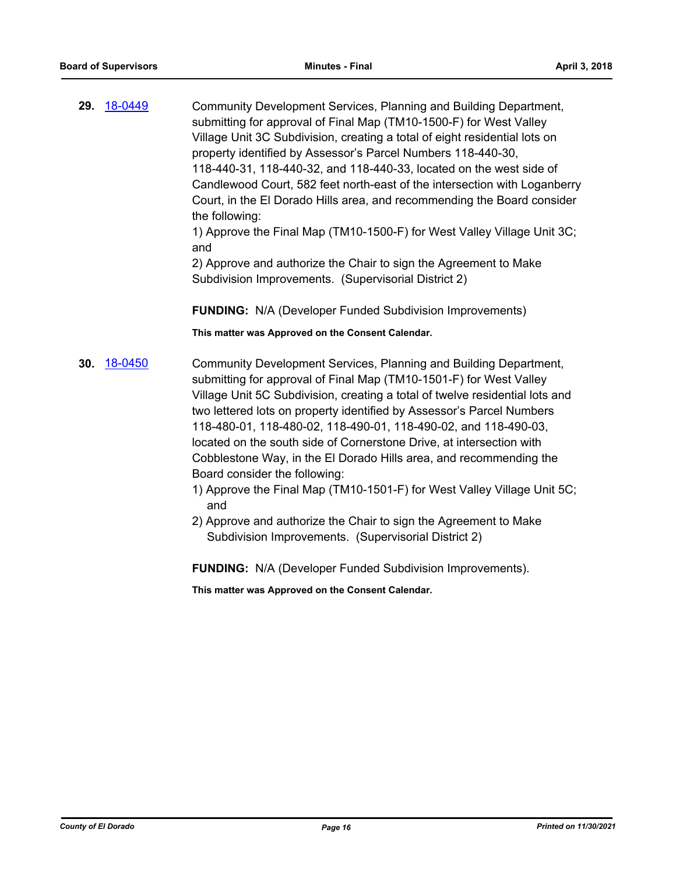**29.** [18-0449](http://eldorado.legistar.com/gateway.aspx?m=l&id=/matter.aspx?key=23794) Community Development Services, Planning and Building Department, submitting for approval of Final Map (TM10-1500-F) for West Valley Village Unit 3C Subdivision, creating a total of eight residential lots on property identified by Assessor's Parcel Numbers 118-440-30, 118-440-31, 118-440-32, and 118-440-33, located on the west side of Candlewood Court, 582 feet north-east of the intersection with Loganberry Court, in the El Dorado Hills area, and recommending the Board consider the following:

1) Approve the Final Map (TM10-1500-F) for West Valley Village Unit 3C; and

2) Approve and authorize the Chair to sign the Agreement to Make Subdivision Improvements. (Supervisorial District 2)

**FUNDING:** N/A (Developer Funded Subdivision Improvements)

**This matter was Approved on the Consent Calendar.**

- **30.** [18-0450](http://eldorado.legistar.com/gateway.aspx?m=l&id=/matter.aspx?key=23795) Community Development Services, Planning and Building Department, submitting for approval of Final Map (TM10-1501-F) for West Valley Village Unit 5C Subdivision, creating a total of twelve residential lots and two lettered lots on property identified by Assessor's Parcel Numbers 118-480-01, 118-480-02, 118-490-01, 118-490-02, and 118-490-03, located on the south side of Cornerstone Drive, at intersection with Cobblestone Way, in the El Dorado Hills area, and recommending the Board consider the following:
	- 1) Approve the Final Map (TM10-1501-F) for West Valley Village Unit 5C; and
	- 2) Approve and authorize the Chair to sign the Agreement to Make Subdivision Improvements. (Supervisorial District 2)

**FUNDING:** N/A (Developer Funded Subdivision Improvements).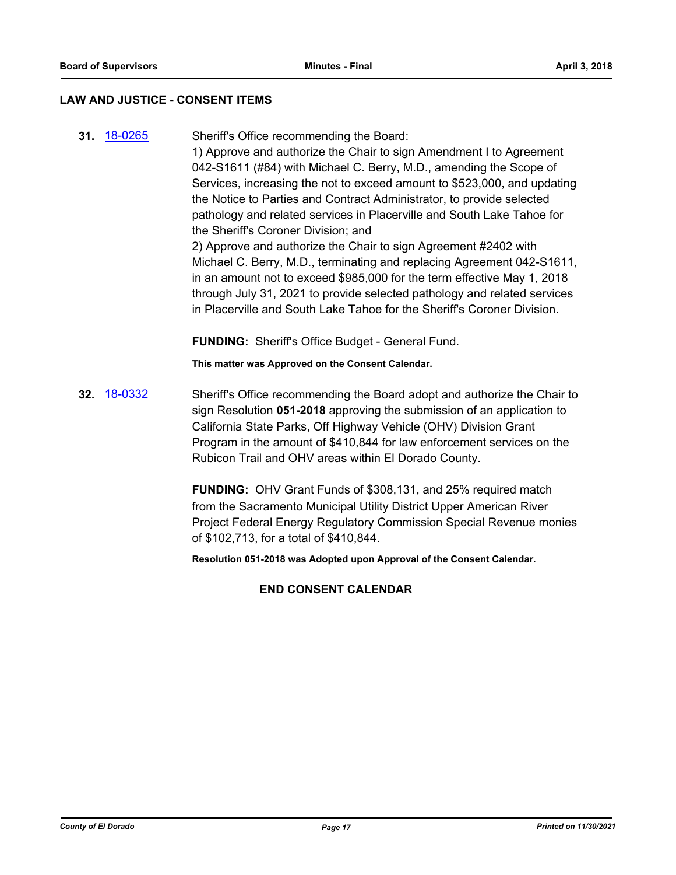### **LAW AND JUSTICE - CONSENT ITEMS**

**31.** [18-0265](http://eldorado.legistar.com/gateway.aspx?m=l&id=/matter.aspx?key=23608) Sheriff's Office recommending the Board: 1) Approve and authorize the Chair to sign Amendment I to Agreement 042-S1611 (#84) with Michael C. Berry, M.D., amending the Scope of Services, increasing the not to exceed amount to \$523,000, and updating the Notice to Parties and Contract Administrator, to provide selected pathology and related services in Placerville and South Lake Tahoe for the Sheriff's Coroner Division; and 2) Approve and authorize the Chair to sign Agreement #2402 with Michael C. Berry, M.D., terminating and replacing Agreement 042-S1611, in an amount not to exceed \$985,000 for the term effective May 1, 2018 through July 31, 2021 to provide selected pathology and related services in Placerville and South Lake Tahoe for the Sheriff's Coroner Division.

**FUNDING:** Sheriff's Office Budget - General Fund.

**This matter was Approved on the Consent Calendar.**

**32.** [18-0332](http://eldorado.legistar.com/gateway.aspx?m=l&id=/matter.aspx?key=23675) Sheriff's Office recommending the Board adopt and authorize the Chair to sign Resolution **051-2018** approving the submission of an application to California State Parks, Off Highway Vehicle (OHV) Division Grant Program in the amount of \$410,844 for law enforcement services on the Rubicon Trail and OHV areas within El Dorado County.

> **FUNDING:** OHV Grant Funds of \$308,131, and 25% required match from the Sacramento Municipal Utility District Upper American River Project Federal Energy Regulatory Commission Special Revenue monies of \$102,713, for a total of \$410,844.

**Resolution 051-2018 was Adopted upon Approval of the Consent Calendar.**

### **END CONSENT CALENDAR**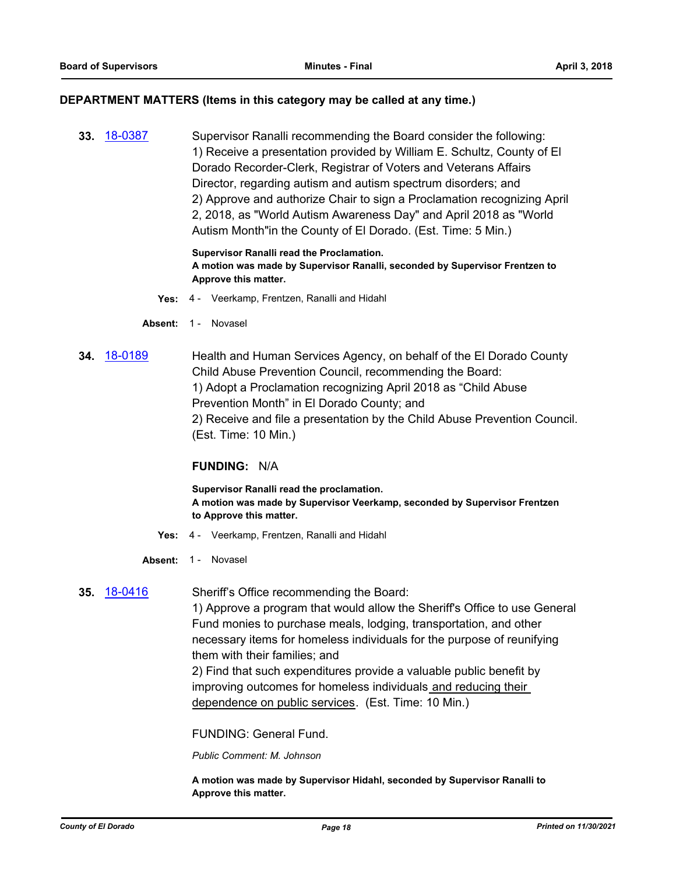### **DEPARTMENT MATTERS (Items in this category may be called at any time.)**

**33.** [18-0387](http://eldorado.legistar.com/gateway.aspx?m=l&id=/matter.aspx?key=23732) Supervisor Ranalli recommending the Board consider the following: 1) Receive a presentation provided by William E. Schultz, County of El Dorado Recorder-Clerk, Registrar of Voters and Veterans Affairs Director, regarding autism and autism spectrum disorders; and 2) Approve and authorize Chair to sign a Proclamation recognizing April 2, 2018, as "World Autism Awareness Day" and April 2018 as "World Autism Month"in the County of El Dorado. (Est. Time: 5 Min.)

### **Supervisor Ranalli read the Proclamation. A motion was made by Supervisor Ranalli, seconded by Supervisor Frentzen to Approve this matter.**

- **Yes:** 4 Veerkamp, Frentzen, Ranalli and Hidahl
- Absent: 1 Novasel
- **34.** [18-0189](http://eldorado.legistar.com/gateway.aspx?m=l&id=/matter.aspx?key=23531) Health and Human Services Agency, on behalf of the El Dorado County Child Abuse Prevention Council, recommending the Board: 1) Adopt a Proclamation recognizing April 2018 as "Child Abuse Prevention Month" in El Dorado County; and 2) Receive and file a presentation by the Child Abuse Prevention Council. (Est. Time: 10 Min.)

### **FUNDING:** N/A

**Supervisor Ranalli read the proclamation. A motion was made by Supervisor Veerkamp, seconded by Supervisor Frentzen to Approve this matter.**

- **Yes:** 4 Veerkamp, Frentzen, Ranalli and Hidahl
- Absent: 1 Novasel

### **35.** [18-0416](http://eldorado.legistar.com/gateway.aspx?m=l&id=/matter.aspx?key=23761) Sheriff's Office recommending the Board:

1) Approve a program that would allow the Sheriff's Office to use General Fund monies to purchase meals, lodging, transportation, and other necessary items for homeless individuals for the purpose of reunifying them with their families; and

2) Find that such expenditures provide a valuable public benefit by improving outcomes for homeless individuals and reducing their dependence on public services. (Est. Time: 10 Min.)

FUNDING: General Fund.

*Public Comment: M. Johnson*

**A motion was made by Supervisor Hidahl, seconded by Supervisor Ranalli to Approve this matter.**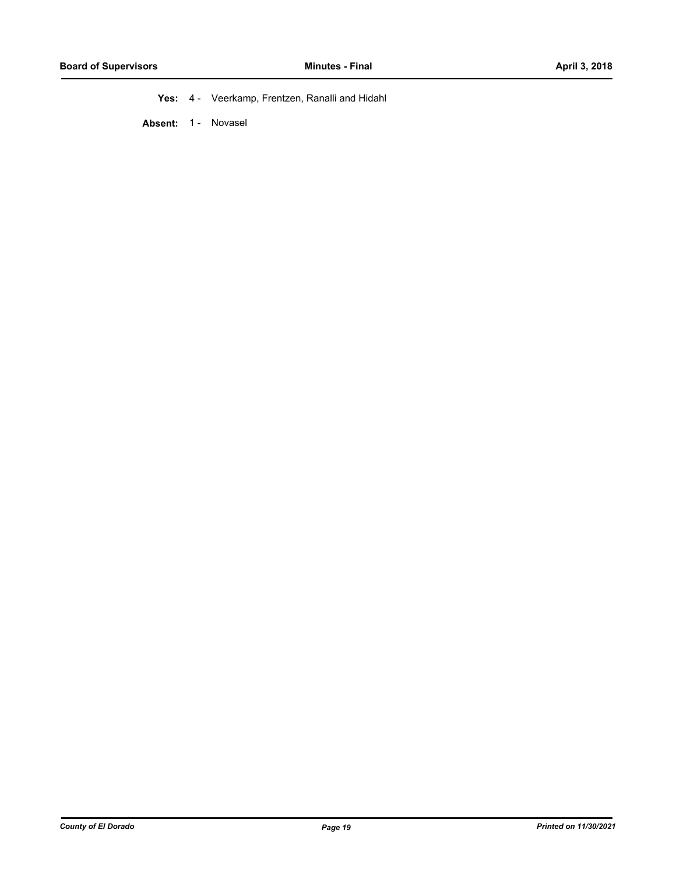**Yes:** 4 - Veerkamp, Frentzen, Ranalli and Hidahl

Absent: 1 - Novasel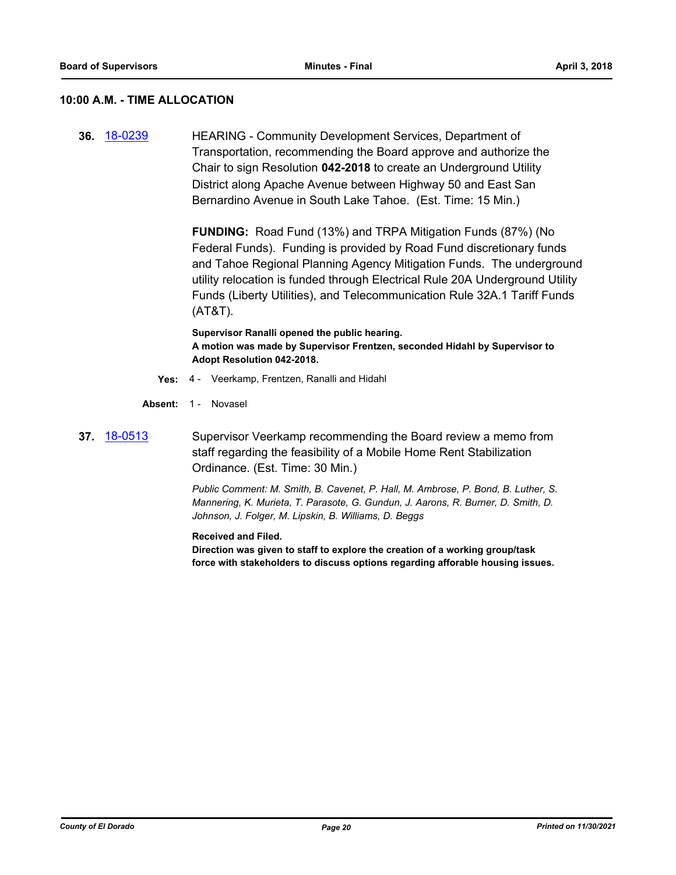### **10:00 A.M. - TIME ALLOCATION**

**36.** [18-0239](http://eldorado.legistar.com/gateway.aspx?m=l&id=/matter.aspx?key=23581) HEARING - Community Development Services, Department of Transportation, recommending the Board approve and authorize the Chair to sign Resolution **042-2018** to create an Underground Utility District along Apache Avenue between Highway 50 and East San Bernardino Avenue in South Lake Tahoe. (Est. Time: 15 Min.)

> **FUNDING:** Road Fund (13%) and TRPA Mitigation Funds (87%) (No Federal Funds). Funding is provided by Road Fund discretionary funds and Tahoe Regional Planning Agency Mitigation Funds. The underground utility relocation is funded through Electrical Rule 20A Underground Utility Funds (Liberty Utilities), and Telecommunication Rule 32A.1 Tariff Funds (AT&T).

**Supervisor Ranalli opened the public hearing. A motion was made by Supervisor Frentzen, seconded Hidahl by Supervisor to Adopt Resolution 042-2018.**

- **Yes:** 4 Veerkamp, Frentzen, Ranalli and Hidahl
- Absent: 1 Novasel
- **37.** [18-0513](http://eldorado.legistar.com/gateway.aspx?m=l&id=/matter.aspx?key=23858) Supervisor Veerkamp recommending the Board review a memo from staff regarding the feasibility of a Mobile Home Rent Stabilization Ordinance. (Est. Time: 30 Min.)

*Public Comment: M. Smith, B. Cavenet, P. Hall, M. Ambrose, P. Bond, B. Luther, S. Mannering, K. Murieta, T. Parasote, G. Gundun, J. Aarons, R. Burner, D. Smith, D. Johnson, J. Folger, M. Lipskin, B. Williams, D. Beggs*

**Received and Filed.**

**Direction was given to staff to explore the creation of a working group/task force with stakeholders to discuss options regarding afforable housing issues.**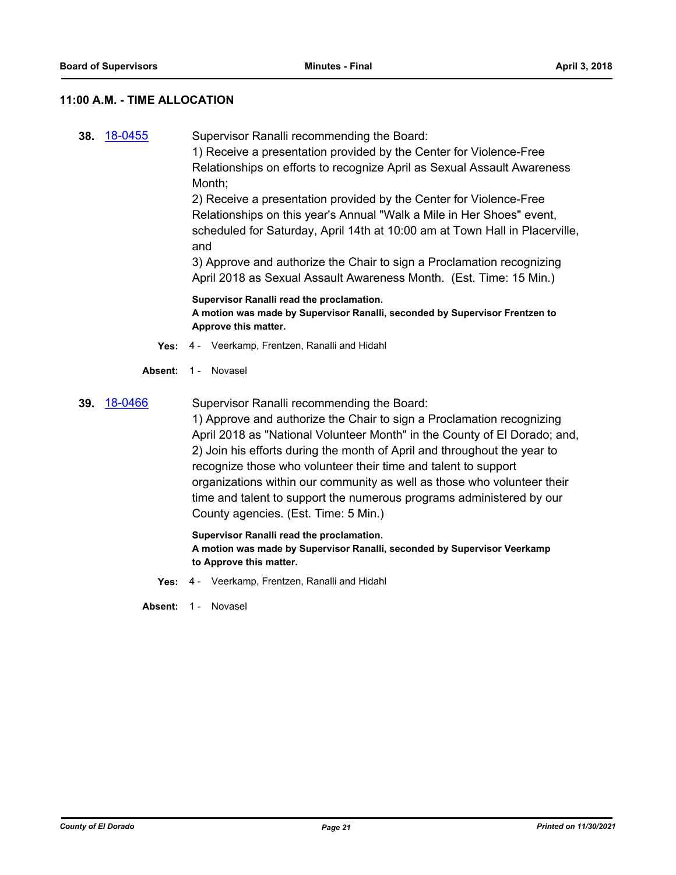### **11:00 A.M. - TIME ALLOCATION**

**38.** [18-0455](http://eldorado.legistar.com/gateway.aspx?m=l&id=/matter.aspx?key=23800) Supervisor Ranalli recommending the Board:

1) Receive a presentation provided by the Center for Violence-Free Relationships on efforts to recognize April as Sexual Assault Awareness Month;

2) Receive a presentation provided by the Center for Violence-Free Relationships on this year's Annual "Walk a Mile in Her Shoes" event, scheduled for Saturday, April 14th at 10:00 am at Town Hall in Placerville, and

3) Approve and authorize the Chair to sign a Proclamation recognizing April 2018 as Sexual Assault Awareness Month. (Est. Time: 15 Min.)

**Supervisor Ranalli read the proclamation. A motion was made by Supervisor Ranalli, seconded by Supervisor Frentzen to Approve this matter.**

- **Yes:** 4 Veerkamp, Frentzen, Ranalli and Hidahl
- Absent: 1 Novasel

### **39.** [18-0466](http://eldorado.legistar.com/gateway.aspx?m=l&id=/matter.aspx?key=23811) Supervisor Ranalli recommending the Board:

1) Approve and authorize the Chair to sign a Proclamation recognizing April 2018 as "National Volunteer Month" in the County of El Dorado; and, 2) Join his efforts during the month of April and throughout the year to recognize those who volunteer their time and talent to support organizations within our community as well as those who volunteer their time and talent to support the numerous programs administered by our County agencies. (Est. Time: 5 Min.)

**Supervisor Ranalli read the proclamation. A motion was made by Supervisor Ranalli, seconded by Supervisor Veerkamp to Approve this matter.**

**Yes:** 4 - Veerkamp, Frentzen, Ranalli and Hidahl

**Absent:** 1 - Novasel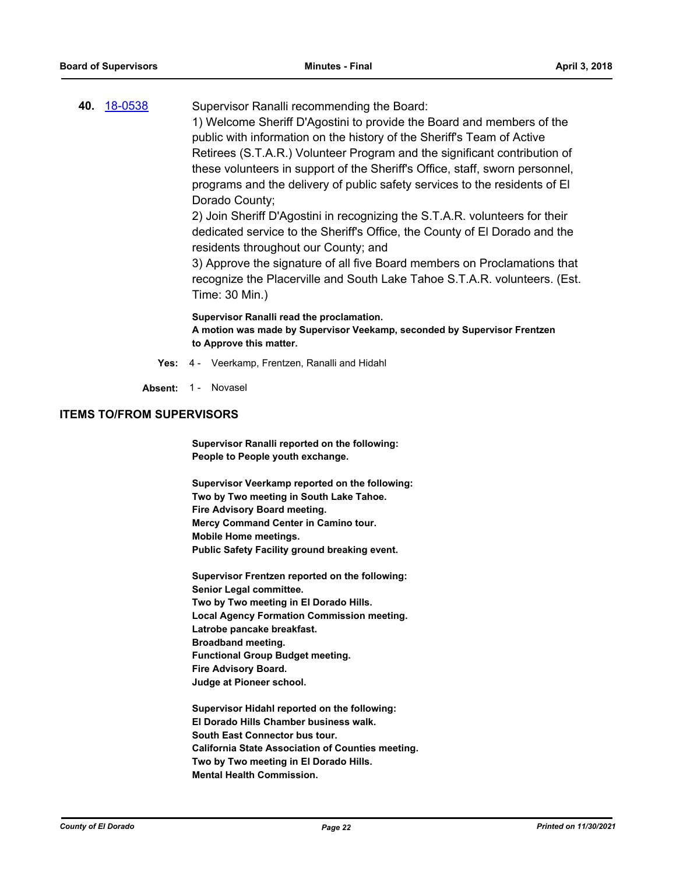| 40. 18-0538 | Supervisor Ranalli recommending the Board:                                                                                                                                                                                                                                     |
|-------------|--------------------------------------------------------------------------------------------------------------------------------------------------------------------------------------------------------------------------------------------------------------------------------|
|             | 1) Welcome Sheriff D'Agostini to provide the Board and members of the                                                                                                                                                                                                          |
|             | public with information on the history of the Sheriff's Team of Active                                                                                                                                                                                                         |
|             | Retirees (S.T.A.R.) Volunteer Program and the significant contribution of                                                                                                                                                                                                      |
|             | these volunteers in support of the Sheriff's Office, staff, sworn personnel,                                                                                                                                                                                                   |
|             | programs and the delivery of public safety services to the residents of El                                                                                                                                                                                                     |
|             | Dorado County;                                                                                                                                                                                                                                                                 |
|             | $\bullet$ . It is $\bullet$ is the $\bullet$ if $\bullet$ is the internal term of $\bullet$ in $\bullet$ in $\bullet$ in the set of $\bullet$ in the internet of $\bullet$ in the internet of $\bullet$ in the internet of $\bullet$ in the internet of $\bullet$ in $\bullet$ |

2) Join Sheriff D'Agostini in recognizing the S.T.A.R. volunteers for their dedicated service to the Sheriff's Office, the County of El Dorado and the residents throughout our County; and

3) Approve the signature of all five Board members on Proclamations that recognize the Placerville and South Lake Tahoe S.T.A.R. volunteers. (Est. Time: 30 Min.)

**Supervisor Ranalli read the proclamation. A motion was made by Supervisor Veekamp, seconded by Supervisor Frentzen to Approve this matter.**

**Yes:** 4 - Veerkamp, Frentzen, Ranalli and Hidahl

Absent: 1 - Novasel

### **ITEMS TO/FROM SUPERVISORS**

**Supervisor Ranalli reported on the following: People to People youth exchange.**

**Supervisor Veerkamp reported on the following: Two by Two meeting in South Lake Tahoe. Fire Advisory Board meeting. Mercy Command Center in Camino tour. Mobile Home meetings. Public Safety Facility ground breaking event.**

**Supervisor Frentzen reported on the following: Senior Legal committee. Two by Two meeting in El Dorado Hills. Local Agency Formation Commission meeting. Latrobe pancake breakfast. Broadband meeting. Functional Group Budget meeting. Fire Advisory Board. Judge at Pioneer school.**

**Supervisor Hidahl reported on the following: El Dorado Hills Chamber business walk. South East Connector bus tour. California State Association of Counties meeting. Two by Two meeting in El Dorado Hills. Mental Health Commission.**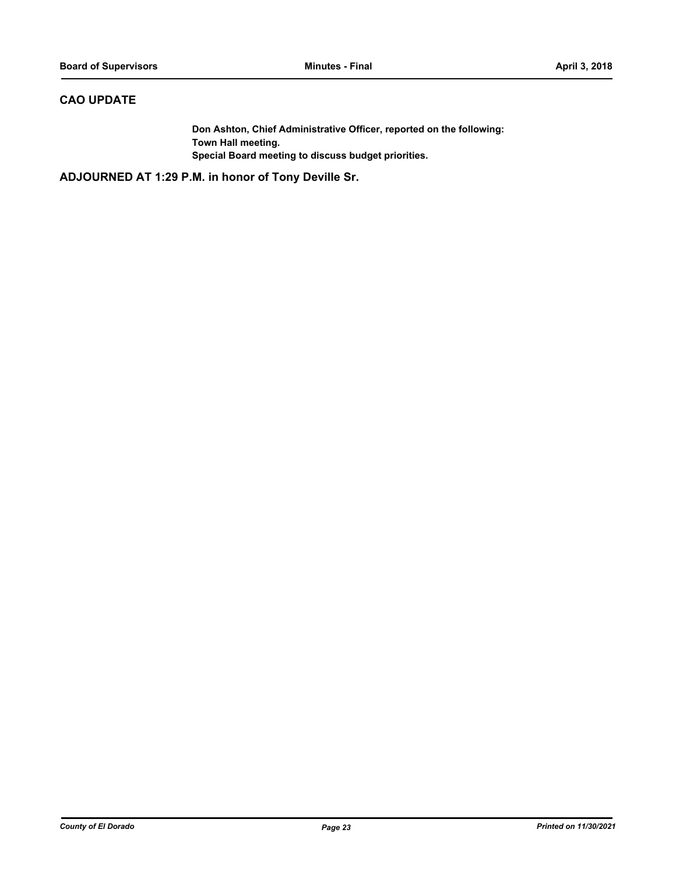### **CAO UPDATE**

**Don Ashton, Chief Administrative Officer, reported on the following: Town Hall meeting. Special Board meeting to discuss budget priorities.**

**ADJOURNED AT 1:29 P.M. in honor of Tony Deville Sr.**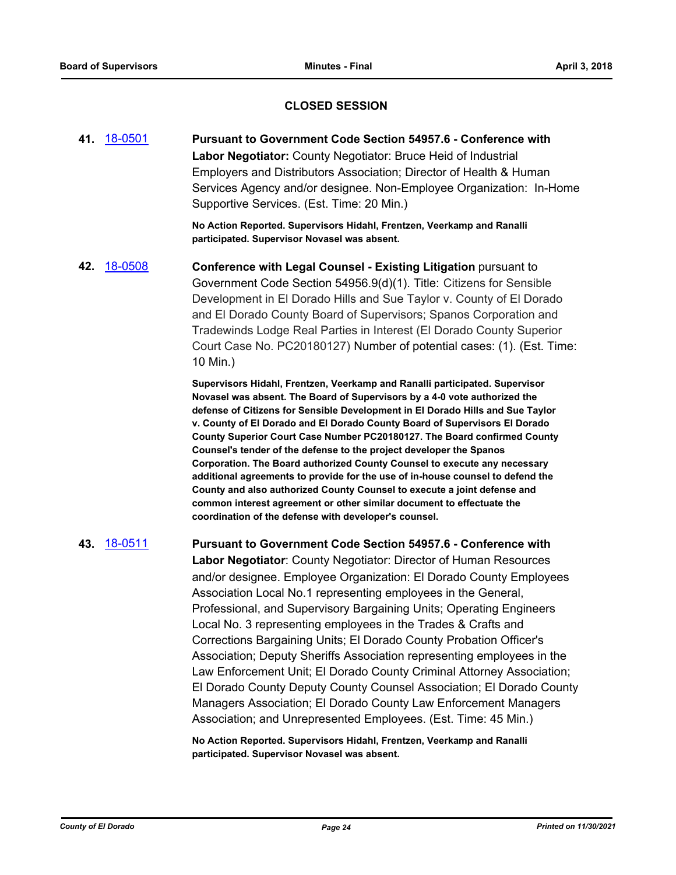### **CLOSED SESSION**

**41.** [18-0501](http://eldorado.legistar.com/gateway.aspx?m=l&id=/matter.aspx?key=23846) **Pursuant to Government Code Section 54957.6 - Conference with Labor Negotiator:** County Negotiator: Bruce Heid of Industrial Employers and Distributors Association; Director of Health & Human Services Agency and/or designee. Non-Employee Organization: In-Home Supportive Services. (Est. Time: 20 Min.)

> **No Action Reported. Supervisors Hidahl, Frentzen, Veerkamp and Ranalli participated. Supervisor Novasel was absent.**

**42.** [18-0508](http://eldorado.legistar.com/gateway.aspx?m=l&id=/matter.aspx?key=23853) **Conference with Legal Counsel - Existing Litigation** pursuant to Government Code Section 54956.9(d)(1). Title: Citizens for Sensible Development in El Dorado Hills and Sue Taylor v. County of El Dorado and El Dorado County Board of Supervisors; Spanos Corporation and Tradewinds Lodge Real Parties in Interest (El Dorado County Superior Court Case No. PC20180127) Number of potential cases: (1). (Est. Time: 10 Min.)

> **Supervisors Hidahl, Frentzen, Veerkamp and Ranalli participated. Supervisor Novasel was absent. The Board of Supervisors by a 4-0 vote authorized the defense of Citizens for Sensible Development in El Dorado Hills and Sue Taylor v. County of El Dorado and El Dorado County Board of Supervisors El Dorado County Superior Court Case Number PC20180127. The Board confirmed County Counsel's tender of the defense to the project developer the Spanos Corporation. The Board authorized County Counsel to execute any necessary additional agreements to provide for the use of in-house counsel to defend the County and also authorized County Counsel to execute a joint defense and common interest agreement or other similar document to effectuate the coordination of the defense with developer's counsel.**

**43.** [18-0511](http://eldorado.legistar.com/gateway.aspx?m=l&id=/matter.aspx?key=23856) **Pursuant to Government Code Section 54957.6 - Conference with Labor Negotiator**: County Negotiator: Director of Human Resources and/or designee. Employee Organization: El Dorado County Employees Association Local No.1 representing employees in the General, Professional, and Supervisory Bargaining Units; Operating Engineers Local No. 3 representing employees in the Trades & Crafts and Corrections Bargaining Units; El Dorado County Probation Officer's Association; Deputy Sheriffs Association representing employees in the Law Enforcement Unit; El Dorado County Criminal Attorney Association; El Dorado County Deputy County Counsel Association; El Dorado County Managers Association; El Dorado County Law Enforcement Managers Association; and Unrepresented Employees. (Est. Time: 45 Min.)

> **No Action Reported. Supervisors Hidahl, Frentzen, Veerkamp and Ranalli participated. Supervisor Novasel was absent.**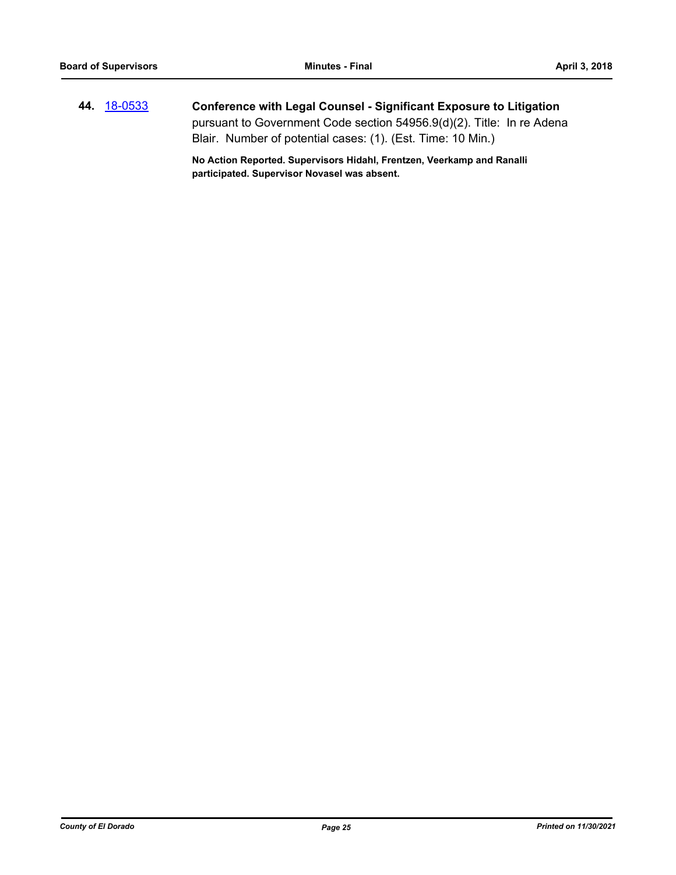**44.** [18-0533](http://eldorado.legistar.com/gateway.aspx?m=l&id=/matter.aspx?key=23878) **Conference with Legal Counsel - Significant Exposure to Litigation** pursuant to Government Code section 54956.9(d)(2). Title: In re Adena Blair. Number of potential cases: (1). (Est. Time: 10 Min.)

> **No Action Reported. Supervisors Hidahl, Frentzen, Veerkamp and Ranalli participated. Supervisor Novasel was absent.**